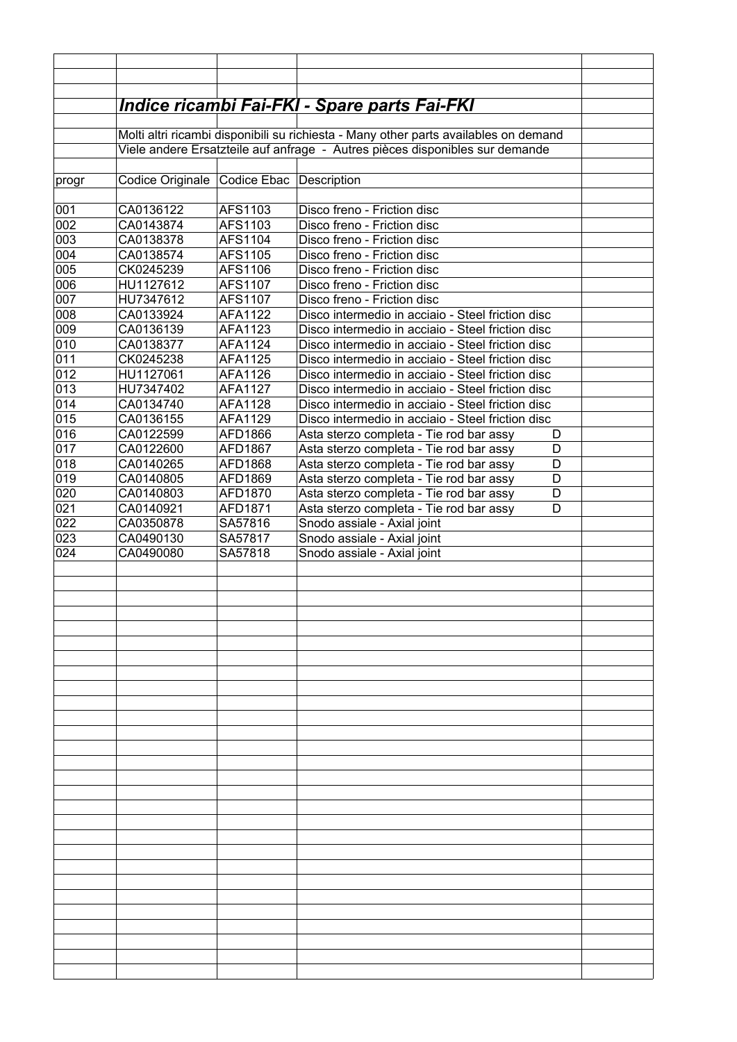|            |                                                                                      |                    | <u> Indice ricambi Fai-FKI - Spare parts Fai-FKI</u>                                         |  |
|------------|--------------------------------------------------------------------------------------|--------------------|----------------------------------------------------------------------------------------------|--|
|            |                                                                                      |                    |                                                                                              |  |
|            | Molti altri ricambi disponibili su richiesta - Many other parts availables on demand |                    |                                                                                              |  |
|            |                                                                                      |                    | Viele andere Ersatzteile auf anfrage - Autres pièces disponibles sur demande                 |  |
| progr      | Codice Originale Codice Ebac Description                                             |                    |                                                                                              |  |
|            |                                                                                      |                    |                                                                                              |  |
| 001        | CA0136122                                                                            | AFS1103            | Disco freno - Friction disc                                                                  |  |
| 002        | CA0143874                                                                            | AFS1103            | Disco freno - Friction disc                                                                  |  |
| 003        | CA0138378                                                                            | AFS1104            | Disco freno - Friction disc                                                                  |  |
| 004<br>005 | CA0138574<br>CK0245239                                                               | AFS1105<br>AFS1106 | Disco freno - Friction disc<br>Disco freno - Friction disc                                   |  |
| 006        | HU1127612                                                                            | AFS1107            | Disco freno - Friction disc                                                                  |  |
| 007        | HU7347612                                                                            | AFS1107            | Disco freno - Friction disc                                                                  |  |
| 008        | CA0133924                                                                            | AFA1122            | Disco intermedio in acciaio - Steel friction disc                                            |  |
| 009        | CA0136139                                                                            | AFA1123            | Disco intermedio in acciaio - Steel friction disc                                            |  |
| 010        | CA0138377                                                                            | AFA1124            | Disco intermedio in acciaio - Steel friction disc                                            |  |
| 011        | CK0245238                                                                            | AFA1125            | Disco intermedio in acciaio - Steel friction disc                                            |  |
| 012        | HU1127061                                                                            | AFA1126            | Disco intermedio in acciaio - Steel friction disc                                            |  |
| 013        | HU7347402                                                                            | AFA1127            | Disco intermedio in acciaio - Steel friction disc                                            |  |
| 014        | CA0134740                                                                            | AFA1128            | Disco intermedio in acciaio - Steel friction disc                                            |  |
| 015        | CA0136155                                                                            | AFA1129            | Disco intermedio in acciaio - Steel friction disc                                            |  |
| 016<br>017 | CA0122599<br>CA0122600                                                               | AFD1866<br>AFD1867 | Asta sterzo completa - Tie rod bar assy<br>D<br>Asta sterzo completa - Tie rod bar assy<br>D |  |
| 018        | CA0140265                                                                            | AFD1868            | Asta sterzo completa - Tie rod bar assy<br>D                                                 |  |
| 019        | CA0140805                                                                            | AFD1869            | Asta sterzo completa - Tie rod bar assy<br>D                                                 |  |
| 020        | CA0140803                                                                            | AFD1870            | Asta sterzo completa - Tie rod bar assy<br>D                                                 |  |
| 021        | CA0140921                                                                            | AFD1871            | Asta sterzo completa - Tie rod bar assy<br>D                                                 |  |
| 022        | CA0350878                                                                            | SA57816            | Snodo assiale - Axial joint                                                                  |  |
| 023        | CA0490130                                                                            | SA57817            | Snodo assiale - Axial joint                                                                  |  |
| 024        | CA0490080                                                                            | SA57818            | Snodo assiale - Axial joint                                                                  |  |
|            |                                                                                      |                    |                                                                                              |  |
|            |                                                                                      |                    |                                                                                              |  |
|            |                                                                                      |                    |                                                                                              |  |
|            |                                                                                      |                    |                                                                                              |  |
|            |                                                                                      |                    |                                                                                              |  |
|            |                                                                                      |                    |                                                                                              |  |
|            |                                                                                      |                    |                                                                                              |  |
|            |                                                                                      |                    |                                                                                              |  |
|            |                                                                                      |                    |                                                                                              |  |
|            |                                                                                      |                    |                                                                                              |  |
|            |                                                                                      |                    |                                                                                              |  |
|            |                                                                                      |                    |                                                                                              |  |
|            |                                                                                      |                    |                                                                                              |  |
|            |                                                                                      |                    |                                                                                              |  |
|            |                                                                                      |                    |                                                                                              |  |
|            |                                                                                      |                    |                                                                                              |  |
|            |                                                                                      |                    |                                                                                              |  |
|            |                                                                                      |                    |                                                                                              |  |
|            |                                                                                      |                    |                                                                                              |  |
|            |                                                                                      |                    |                                                                                              |  |
|            |                                                                                      |                    |                                                                                              |  |
|            |                                                                                      |                    |                                                                                              |  |
|            |                                                                                      |                    |                                                                                              |  |
|            |                                                                                      |                    |                                                                                              |  |
|            |                                                                                      |                    |                                                                                              |  |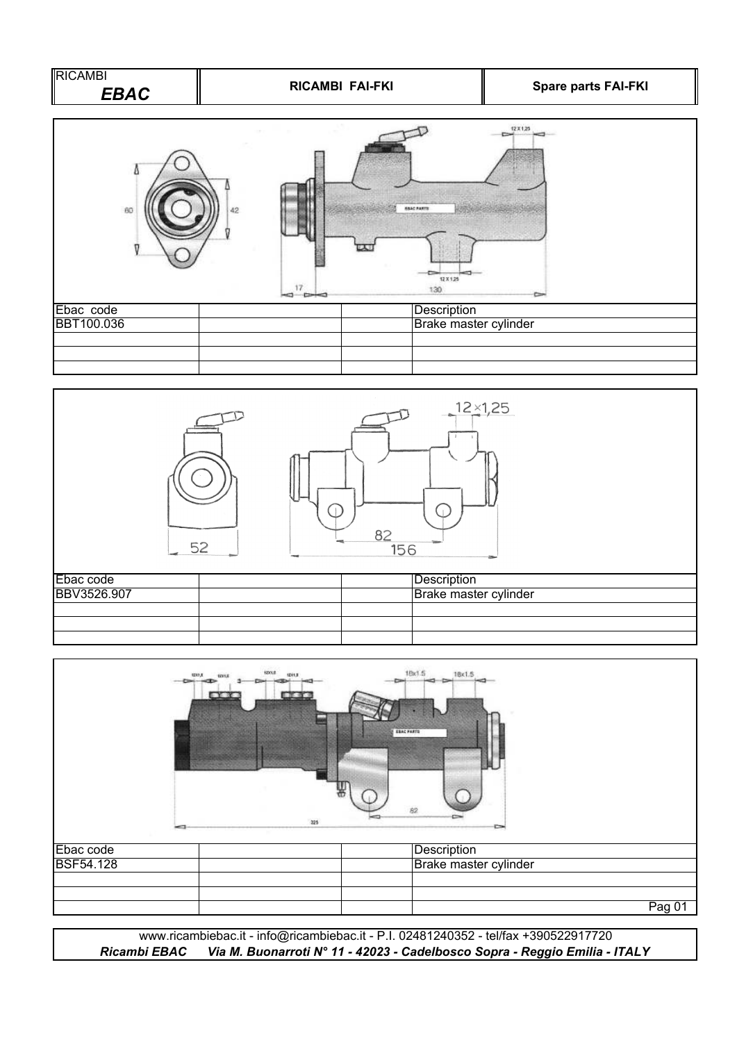



|                  | 1201.8<br>3237.8<br>1201.8<br><b>EDOLE</b><br>$-1$<br>ਜ ਕਰ | 1Bx1.5<br>18x1.5<br><b>ERAC FARTS</b><br>82<br>325<br>๛ |        |
|------------------|------------------------------------------------------------|---------------------------------------------------------|--------|
| Ebac code        |                                                            | Description                                             |        |
| <b>BSF54.128</b> |                                                            | Brake master cylinder                                   |        |
|                  |                                                            |                                                         |        |
|                  |                                                            |                                                         |        |
|                  |                                                            |                                                         | Pag 01 |

*Ricambi EBAC Via M. Buonarroti N° 11 - 42023 - Cadelbosco Sopra - Reggio Emilia - ITALY* www.ricambiebac.it - info@ricambiebac.it - P.I. 02481240352 - tel/fax +390522917720